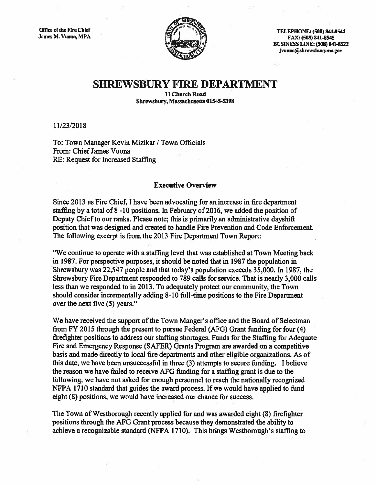

Office of the Fire Chief Telechief Telechief Telechief Telechief Telechief Telechief Telechief Telechief Telechief Telechief Telechief Telechief Telechief Telechief Telechief Telechief Telechief Telechief Telechief Telechi FAX: (508) 841-8545 BUSINESS LINE: (508) 841-8522 jvuona@shrewsburyma.gov

## SHREWSBURY FIRE DEPARTMENT

11 Church Road Shrewsbury, Massachusetts 01545-5398

11/23/2018

To: Town Manager Kevin Mizikar / Town Officials From: ChiefJames Vuona RE: Request for Increased Staffing

## Executive Overview

Since 2013 as Fire Chief, I have been advocating for an increase in fire department staffing by <sup>a</sup> total of 8 -10 positions. In February of 2016, we added the position of Deputy Chief to our ranks. Please note; this is primarily an administrative dayshift position that was designed and created to handle Fire Prevention and Code Enforcement. The following excerp<sup>t</sup> is from the 2013 Fire Department Town Report:

"We continue to operate with <sup>a</sup> staffing level that was established at Town Meeting back in 1987. For perspective purposes, it should be noted that in 1987 the population in Shewsbury was 22,547 people and that today's population exceeds 35,000. In 1987, the Shrewsbwy Fire Department responded to 789 calls for service. That is nearly 3,000 calls less than we responded to in 2013. To adequately protect our community, the Town should consider incrementally adding 8-10 full-time positions to the Fire Department over the next five (5) years."

We have received the suppor<sup>t</sup> of the Town Manger's office and the Board of Selectman from FY 2015 through the presen<sup>t</sup> to pursue Federal (AFG) Grant funding for four (4) firefighter positions to address our staffing shortages. Funds for the Staffing for Adequate Fire and Emergency Response (SAFER) Grants Program are awarded on <sup>a</sup> competitive basis and made directly to local fire departments and other eligible organizations. As of this date, we have been unsuccessful in three (3) attempts to secure funding. <sup>I</sup> believe the reason we have failed to receive AFG funding for <sup>a</sup> staffing gran<sup>t</sup> is due to the following; we have not asked for enough personnel to reach the nationally recognized NFPA 1710 standard that guides the award process. If we would have applied to fund eight (8) positions, we would have increased our chance for success.

The Town of Westborough recently applied for and was awarded eight (8) firefighter positions through the AFG Grant process because they demonstrated the ability to achieve <sup>a</sup> recognizable standard (NFPA 1710). This brings Westborough's staffing to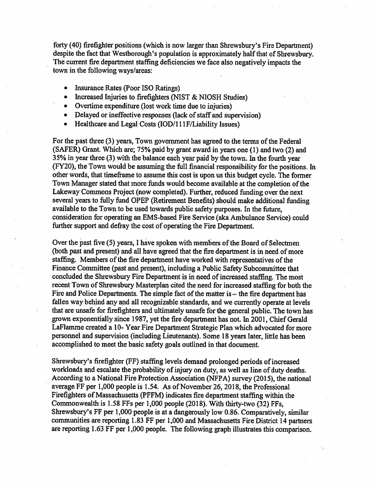forty (40) firefighter positions (which is now larger than Shrewsbuty's Fire Department) despite the fact that Westborough's population is approximately half that of Shrewsbury. The current fire department staffing deficiencies we face also negatively impacts the town in the following ways/areas:

- Insurance Rates (Poor ISO Ratings)
- Increased Injuries to firefighters (NIST & NIOSH Studies)
- Overtime expenditure (lost work time due to injuries)
- Delayed or ineffective responses (lack of staff and supervision)
- •Healthcare and Legal Costs (IOD/111F/Liability Issues)

For the past three (3) years, Town government has agreed to the terms of the Federal (SAFER) Grant. Which are; 75% paid by gran<sup>t</sup> award in years one (1) and two (2) and 35% in year three (3) with the balance each year paid by the town. In the fourth year (FY20), the Town would be assuming the full financial responsibility for the positions. In other words, that timeframe to assume this cost is upon us this budget cycle. The former Town Manager stated that more funds would become available at the completion of the Lakeway Commons Project (now completed). Further, reduced funding over the next several years to fully fund OPEP (Retirement Benefits) should make additional funding available to the Town to be used towards public safety purposes. In the future, consideration for operating an EMS-based Fire Service (aka Ambulance Service) could further suppor<sup>t</sup> and defray the cost of operating the Fire Department.

Over the past five (5) years, I have spoken with members of the Board of Selectmen (both pas<sup>t</sup> and present) and all have agreed that the fire department is in need of more staffing. Members of the fire department have worked with representatives of the Finance Committee (past and present), including <sup>a</sup> Public Safety Subcommittee that concluded the Shrewsbury Fire Department is in need of increased staffing. The most recent Town of Shrewsbury Masterplan cited the need for increased staffing for both the Fire and Police Departments. The simple fact of the matter is – the fire department has fallen way behind any and all recognizable standards, and we currently operate at levels that are unsafe for firefighters and ultimately unsafe for the general public. The town has grown exponentially since 1987, ye<sup>t</sup> the fire department has not. In 2001, Chief Gerald LaFlamme created <sup>a</sup> 10- Year Fire Department Strategic Plan which advocated for more personnel and supervision (including Lieutenants). Some 18 years later, little has been accomplished to meet the basic safety goals outlined in that document.

Shrewsbury's firefighter (FF) staffing levels demand prolonged periods of increased workloads and escalate the probability of injury on duty, as well as line of duty deaths. According to <sup>a</sup> National Fire Protection Association (NFPA) survey (2015), the national average FF per 1,000 people is 1.54. As of November 26, 2018, the Professional Firefighters of Massachusetts (PFFM) indicates fire department staffing within the Commonwealth is 1.58 FFs per 1,000 people (2018). With thirty-two (32) FFs, Shrewsbury's FF per 1,000 people is at <sup>a</sup> dangerously low 0.86. Comparatively, similar communities are reporting 1.83 FF per 1,000 and Massachusetts Fire District <sup>14</sup> partners are reporting 1.63 FF per 1,000 people. The following grap<sup>h</sup> illustrates this comparison.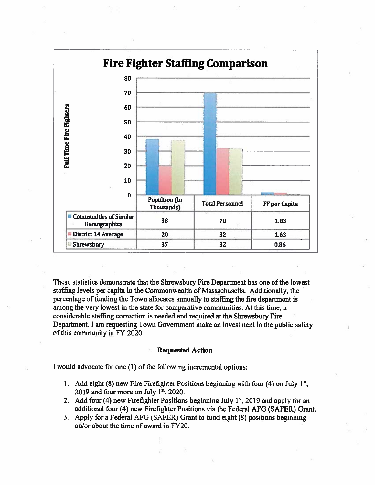

These statistics demonstrate that the Shrewsbury Fire Department has one of the lowest staffing levels per capita in the Commonwealth of Massachusetts. Additionally, the percentage of funding the Town allocates annually to staffing the fire department is among the very lowest in the state for comparative communities. At this time, a considerable staffing correction is needed and required at the Shrewsbury Fire Department. I am requesting Town Government make an investment in the public safety of this community in FY 2020.

## **Requested Action**

I would advocate for one (1) of the following incremental options:

- 1. Add eight (8) new Fire Firefighter Positions beginning with four (4) on July 1st, 2019 and four more on July 1st, 2020.
- 2. Add four (4) new Firefighter Positions beginning July 1<sup>st</sup>, 2019 and apply for an additional four (4) new Firefighter Positions via the Federal AFG (SAFER) Grant.
- 3. Apply for a Federal AFG (SAFER) Grant to fund eight (8) positions beginning on/or about the time of award in FY20.